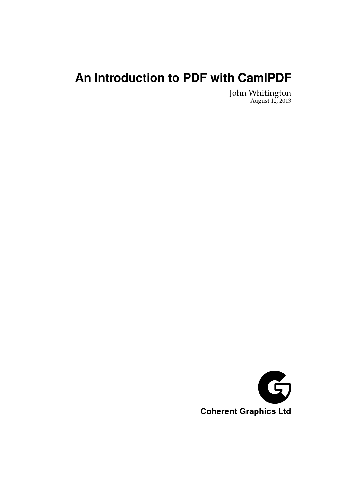# **An Introduction to PDF with CamlPDF**

John Whitington August 12, 2013

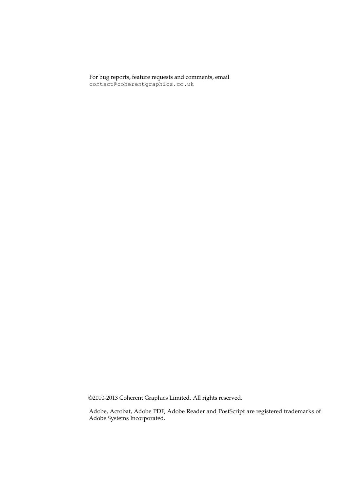For bug reports, feature requests and comments, email contact@coherentgraphics.co.uk

©2010-2013 Coherent Graphics Limited. All rights reserved.

Adobe, Acrobat, Adobe PDF, Adobe Reader and PostScript are registered trademarks of Adobe Systems Incorporated.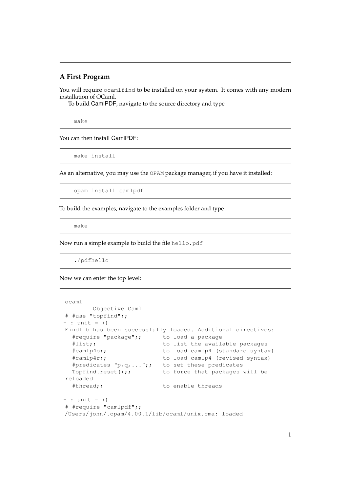#### **A First Program**

You will require  $\circ$ camlfind to be installed on your system. It comes with any modern installation of OCaml.

To build CamlPDF, navigate to the source directory and type

make

You can then install CamlPDF:

make install

As an alternative, you may use the OPAM package manager, if you have it installed:

opam install camlpdf

To build the examples, navigate to the examples folder and type

make

Now run a simple example to build the file hello.pdf

./pdfhello

Now we can enter the top level:

```
ocaml
       Objective Caml
# #use "topfind";;
- : unit = ()
Findlib has been successfully loaded. Additional directives:
 #require "package";; to load a package
 #list;; to list the available packages
 #camlp4o;; to load camlp4 (standard syntax)
  #camlp4r;; to load camlp4 (revised syntax)
  #predicates "p,q, ...";; to set these predicates
 Topfind.reset();; to force that packages will be
reloaded
 #thread;; to enable threads
- : unit = ()
# #require "camlpdf";;
/Users/john/.opam/4.00.1/lib/ocaml/unix.cma: loaded
```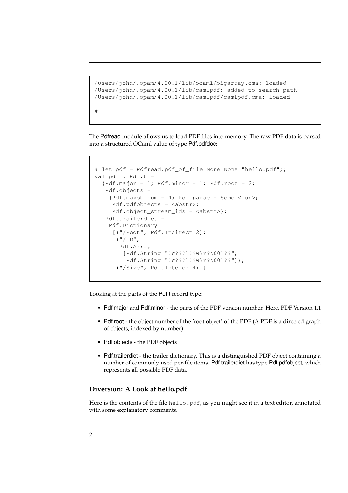```
/Users/john/.opam/4.00.1/lib/ocaml/bigarray.cma: loaded
/Users/john/.opam/4.00.1/lib/camlpdf: added to search path
/Users/john/.opam/4.00.1/lib/camlpdf/camlpdf.cma: loaded
#
```
The Pdfread module allows us to load PDF files into memory. The raw PDF data is parsed into a structured OCaml value of type Pdf.pdfdoc:

```
# let pdf = Pdfread.pdf_of_file None None "hello.pdf";;
val pdf : Pdf.t ={Pdf.major = 1; Pdf.minor = 1; Pdf.root = 2;
   Pdf.objects =
    {Pdf.maxobjnum = 4; Pdf.parse = Some \langlefun>;
     Pdf.pdfobjects = <abstr>;
     Pdf.object_stream_ids = <abstr>};
   Pdf.trailerdict =
    Pdf.Dictionary
     [("/Root", Pdf.Indirect 2);
      ("/ID",
       Pdf.Array
        [Pdf.String "?W???`??w\r?\001??";
         Pdf.String "?W???`??w\r?\001??"]);
      ("/Size", Pdf.Integer 4)]}
```
Looking at the parts of the Pdf.t record type:

- Pdf.major and Pdf.minor the parts of the PDF version number. Here, PDF Version 1.1
- Pdf.root the object number of the 'root object' of the PDF (A PDF is a directed graph of objects, indexed by number)
- Pdf.objects the PDF objects
- Pdf.trailerdict the trailer dictionary. This is a distinguished PDF object containing a number of commonly used per-file items. Pdf.trailerdict has type Pdf.pdfobject, which represents all possible PDF data.

#### **Diversion: A Look at hello.pdf**

Here is the contents of the file hello.pdf, as you might see it in a text editor, annotated with some explanatory comments.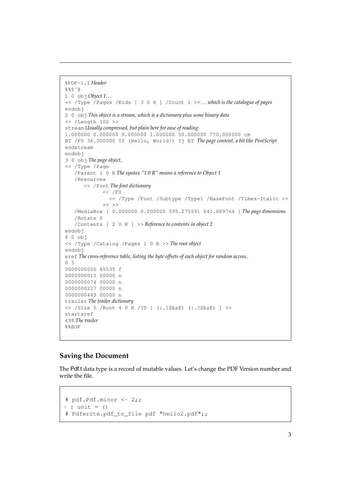```
%PDF-1.1 Header
%%$ˆ@
1 0 obj Object 1. . .
<< /Type /Pages /Kids [ 3 0 R ] /Count 1 >> . . . which is the catalogue of pages
endobj
2 0 obj This object is a stream, which is a dictionary plus some binary data
<< /Length 102 >>
stream Usually compressed, but plain here for ease of reading
1.000000 0.000000 0.000000 1.000000 50.000000 770.000000 cm
BT /F0 36.000000 Tf (Hello, World!) Tj ET The page content, a bit like PostScript
endstream
endobj
3 0 obj The page object,
<< /Type /Page
   /Parent 1 0 R The syntax "1 0 R" means a reference to Object 1
   /Resources
       << /Font The font dictionary
              << /F0
                << /Type /Font /Subtype /Type1 /BaseFont /Times-Italic >>
              \rightarrow >> \rightarrow/MediaBox [ 0.000000 0.000000 595.275591 841.889764 ] The page dimensions
   /Rotate 0
   /Contents [ 2 0 R ] >> Reference to contents in object 2
endobj
4 0 obj
<< /Type /Catalog /Pages 1 0 R >> The root object
endobj
xref The cross-reference table, listing the byte offsets of each object for random access.
0 5
0000000000 65535 f
0000000015 00000 n
0000000074 00000 n
0000000227 00000 n
0000000449 00000 n
trailer The trailer dictionary
<< /Size 5 /Root 4 0 R /ID [ (:.]ZŁzE) (:.?ZŁzE) ] >>
startxref
498 The trailer
%%EOF
```
## **Saving the Document**

The Pdf.t data type is a record of mutable values. Let's change the PDF Version number and write the file.

```
# pdf.Pdf.minor <- 2;;
- : unit = ()
# Pdfwrite.pdf_to_file pdf "hello2.pdf";;
```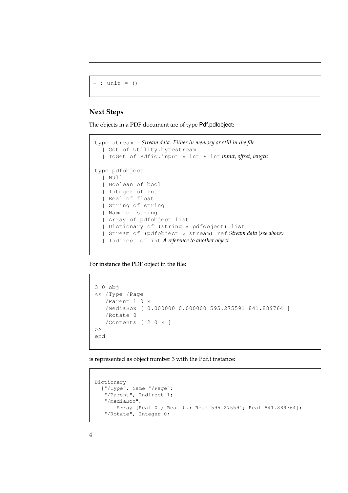```
- : unit = ()
```
## **Next Steps**

The objects in a PDF document are of type Pdf.pdfobject:

```
type stream = Stream data. Either in memory or still in the file
 | Got of Utility.bytestream
  | ToGet of Pdfio.input * int * int input, offset, length
type pdfobject =
  | Null
  | Boolean of bool
  | Integer of int
  | Real of float
  | String of string
  | Name of string
  | Array of pdfobject list
  | Dictionary of (string * pdfobject) list
  | Stream of (pdfobject * stream) ref Stream data (see above)
  | Indirect of int A reference to another object
```
For instance the PDF object in the file:

```
3 0 obj
<< /Type /Page
   /Parent 1 0 R
   /MediaBox [ 0.000000 0.000000 595.275591 841.889764 ]
   /Rotate 0
   /Contents [ 2 0 R ]
\rightarrowend
```
is represented as object number 3 with the Pdf.t instance:

```
Dictionary
 ["/Type", Name "/Page";
   "/Parent", Indirect 1;
  "/MediaBox",
     Array [Real 0.; Real 0.; Real 595.275591; Real 841.889764];
   "/Rotate", Integer 0;
```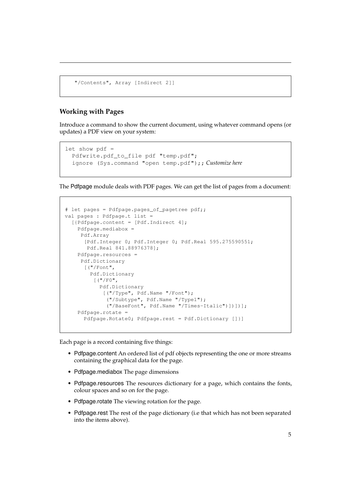```
"/Contents", Array [Indirect 2]]
```
## **Working with Pages**

Introduce a command to show the current document, using whatever command opens (or updates) a PDF view on your system:

```
let show pdf =Pdfwrite.pdf_to_file pdf "temp.pdf";
  ignore (Sys.command "open temp.pdf");; Customize here
```
The Pdfpage module deals with PDF pages. We can get the list of pages from a document:

```
# let pages = Pdfpage.pages_of_pagetree pdf;;
val pages : Pdfpage.t list =
 [{Pdfpage.content = [Pdf.Indirect 4];
   Pdfpage.mediabox =
    Pdf.Array
     [Pdf.Integer 0; Pdf.Integer 0; Pdf.Real 595.275590551;
      Pdf.Real 841.88976378];
   Pdfpage.resources =
    Pdf.Dictionary
      [ ("/Font",
       Pdf.Dictionary
        [("/FO",Pdf.Dictionary
            [("/Type", Pdf.Name "/Font");
             ("/Subtype", Pdf.Name "/Type1");
             ("/BaseFont", Pdf.Name "/Times-Italic")])])];
   Pdfpage.rotate =
      Pdfpage.Rotate0; Pdfpage.rest = Pdf.Dictionary []}]
```
Each page is a record containing five things:

- Pdfpage.content An ordered list of pdf objects representing the one or more streams containing the graphical data for the page.
- Pdfpage.mediabox The page dimensions
- Pdfpage.resources The resources dictionary for a page, which contains the fonts, colour spaces and so on for the page.
- Pdfpage.rotate The viewing rotation for the page.
- Pdfpage.rest The rest of the page dictionary (i.e that which has not been separated into the items above).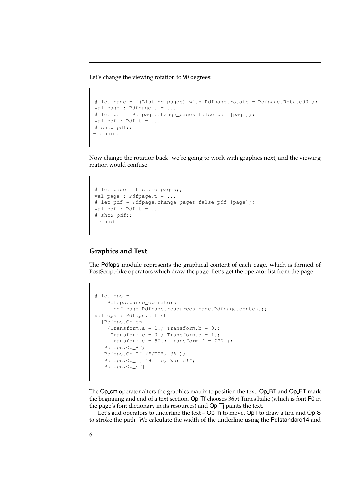Let's change the viewing rotation to 90 degrees:

```
# let page = {(List.hd pages) with Pdfpage.rotate = Pdfpage.Rotate90};;
val page : Pdfpage.t = ...
# let pdf = Pdfpage.change_pages false pdf [page];;
val pdf : Pdf.t = ...# show pdf;;
- : unit
```
Now change the rotation back: we're going to work with graphics next, and the viewing roation would confuse:

```
# let page = List.hd pages;;
val page : Pdfpage.t = ...
# let pdf = Pdfpage.change_pages false pdf [page];;
val pdf : Pdf.t = ...# show pdf;;
- : unit
```
#### **Graphics and Text**

The Pdfops module represents the graphical content of each page, which is formed of PostScript-like operators which draw the page. Let's get the operator list from the page:

```
# let ops =
   Pdfops.parse_operators
    pdf page.Pdfpage.resources page.Pdfpage.content;;
val ops : Pdfops.t list =
 [Pdfops.Op_cm
   {Transform.a = 1.; Transform.b = 0.;
    Transform.c = 0.; Transform.d = 1.;
    Transform.e = 50.; Transform.f = 770.};
  Pdfops.Op_BT;
  Pdfops.Op_Tf ("/F0", 36.);
  Pdfops.Op_Tj "Hello, World!";
  Pdfops.Op_ET]
```
The Op<sub>-</sub>cm operator alters the graphics matrix to position the text. Op<sub>-BT</sub> and Op<sub>-ET</sub> mark the beginning and end of a text section. Op Tf chooses 36pt Times Italic (which is font F0 in the page's font dictionary in its resources) and Op<sub>-T</sub>j paints the text.

Let's add operators to underline the text – Op\_m to move, Op\_l to draw a line and Op\_S to stroke the path. We calculate the width of the underline using the Pdfstandard14 and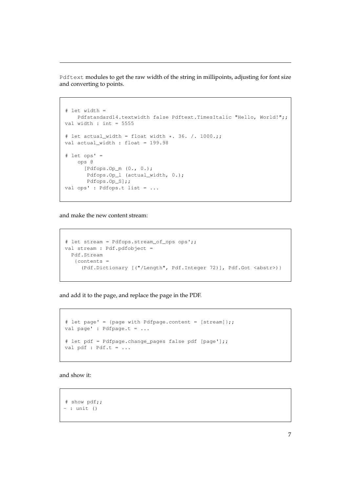Pdftext modules to get the raw width of the string in millipoints, adjusting for font size and converting to points.

```
# let width =
   Pdfstandard14.textwidth false Pdftext.TimesItalic "Hello, World!";;
val width : int = 5555# let actual_width = float width \star. 36. /. 1000.;;
val actual_width : float = 199.98
# let ops' =
   ops @
     [Pdfops.Op_m (0., 0.);
      Pdfops.Op_l (actual_width, 0.);
      Pdfops.Op_S];;
val ops' : Pdfops.t list = ...
```
and make the new content stream:

```
# let stream = Pdfops.stream_of_ops ops';;
val stream : Pdf.pdfobject =
 Pdf.Stream
   {contents =
     (Pdf.Dictionary [("/Length", Pdf.Integer 72)], Pdf.Got <abstr>)}
```
and add it to the page, and replace the page in the PDF.

```
# let page' = {page with Pdfpage.content = [stream]};;
val page' : Pdfpage.t = ...
# let pdf = Pdfpage.change_pages false pdf [page'];;
val pdf : Pdf.t = ...
```
and show it:

```
# show pdf;;
- : unit ()
```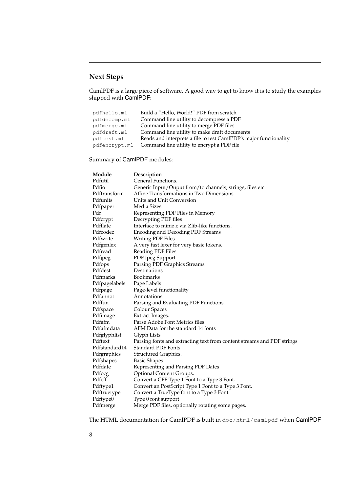# **Next Steps**

CamlPDF is a large piece of software. A good way to get to know it is to study the examples shipped with CamIPDF:

| pdfhello.ml   | Build a "Hello, World!" PDF from scratch                          |
|---------------|-------------------------------------------------------------------|
| pdfdecomp.ml  | Command line utility to decompress a PDF                          |
| pdfmerge.ml   | Command line utility to merge PDF files                           |
| pdfdraft.ml   | Command line utility to make draft documents                      |
| pdftest.ml    | Reads and interprets a file to test CamlPDF's major functionality |
| pdfencrypt.ml | Command line utility to encrypt a PDF file                        |

Summary of CamlPDF modules:

| Module        | Description                                                            |
|---------------|------------------------------------------------------------------------|
| Pdfutil       | General Functions.                                                     |
| Pdfio         | Generic Input/Ouput from/to channels, strings, files etc.              |
| Pdftransform  | Affine Transformations in Two Dimensions                               |
| Pdfunits      | Units and Unit Conversion                                              |
| Pdfpaper      | Media Sizes                                                            |
| Pdf           | Representing PDF Files in Memory                                       |
| Pdfcrypt      | Decrypting PDF files                                                   |
| Pdfflate      | Interface to miniz.c via Zlib-like functions.                          |
| Pdfcodec      | <b>Encoding and Decoding PDF Streams</b>                               |
| Pdfwrite      | Writing PDF Files                                                      |
| Pdfgenlex     | A very fast lexer for very basic tokens.                               |
| Pdfread       | Reading PDF Files                                                      |
| Pdfjpeg       | PDF Jpeg Support                                                       |
| Pdfops        | Parsing PDF Graphics Streams                                           |
| Pdfdest       | Destinations                                                           |
| Pdfmarks      | <b>Bookmarks</b>                                                       |
| Pdfpagelabels | Page Labels                                                            |
| Pdfpage       | Page-level functionality                                               |
| Pdfannot      | Annotations                                                            |
| Pdffun        | Parsing and Evaluating PDF Functions.                                  |
| Pdfspace      | Colour Spaces                                                          |
| Pdfimage      | Extract Images.                                                        |
| Pdfafm        | Parse Adobe Font Metrics files                                         |
| Pdfafmdata    | AFM Data for the standard 14 fonts                                     |
| Pdfglyphlist  | Glyph Lists                                                            |
| Pdftext       | Parsing fonts and extracting text from content streams and PDF strings |
| Pdfstandard14 | <b>Standard PDF Fonts</b>                                              |
| Pdfgraphics   | Structured Graphics.                                                   |
| Pdfshapes     | Basic Shapes                                                           |
| Pdfdate       | Representing and Parsing PDF Dates                                     |
| Pdfocg        | Optional Content Groups.                                               |
| Pdfcff        | Convert a CFF Type 1 Font to a Type 3 Font.                            |
| Pdftype1      | Convert an PostScript Type 1 Font to a Type 3 Font.                    |
| Pdftruetype   | Convert a TrueType font to a Type 3 Font.                              |
| Pdftype0      | Type 0 font support                                                    |
| Pdfmerge      | Merge PDF files, optionally rotating some pages.                       |

The HTML documentation for CamlPDF is built in doc/html/camlpdf when CamlPDF